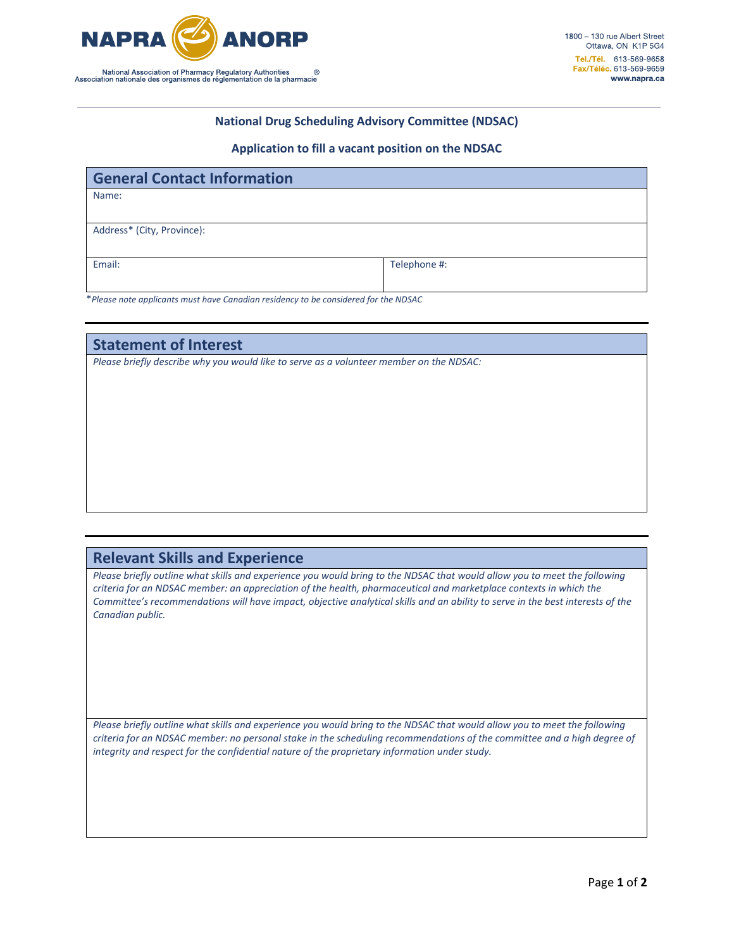

## **National Drug Scheduling Advisory Committee (NDSAC)**

## **Application to fill a vacant position on the NDSAC**

| <b>General Contact Information</b> |              |
|------------------------------------|--------------|
| Name:                              |              |
|                                    |              |
| Address* (City, Province):         |              |
|                                    |              |
| Email:                             | Telephone #: |
|                                    |              |

\**Please note applicants must have Canadian residency to be considered for the NDSAC*

**Statement of Interest**

*Please briefly describe why you would like to serve as a volunteer member on the NDSAC:* 

## **Relevant Skills and Experience**

Please briefly outline what skills and experience you would bring to the NDSAC that would allow you to meet the following *criteria for an NDSAC member: an appreciation of the health, pharmaceutical and marketplace contexts in which the Committee's recommendations will have impact, objective analytical skills and an ability to serve in the best interests of the Canadian public.*

Please briefly outline what skills and experience you would bring to the NDSAC that would allow you to meet the following *criteria for an NDSAC member: no personal stake in the scheduling recommendations of the committee and a high degree of integrity and respect for the confidential nature of the proprietary information under study.*